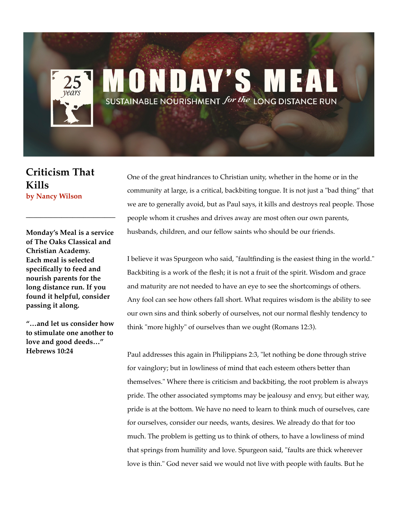## ONDAY'S SUSTAINABLE NOURISHMENT for the LONG DISTANCE RUN

**Criticism That Kills by Nancy Wilson**

**Monday's Meal is a service of The Oaks Classical and Christian Academy. Each meal is selected specifically to feed and nourish parents for the long distance run. If you found it helpful, consider passing it along.** 

**\_\_\_\_\_\_\_\_\_\_\_\_\_\_\_\_\_\_\_\_\_\_\_\_\_**

**"…and let us consider how to stimulate one another to love and good deeds…" Hebrews 10:24**

One of the great hindrances to Christian unity, whether in the home or in the community at large, is a critical, backbiting tongue. It is not just a "bad thing" that we are to generally avoid, but as Paul says, it kills and destroys real people. Those people whom it crushes and drives away are most often our own parents, husbands, children, and our fellow saints who should be our friends.

I believe it was Spurgeon who said, "faultfinding is the easiest thing in the world." Backbiting is a work of the flesh; it is not a fruit of the spirit. Wisdom and grace and maturity are not needed to have an eye to see the shortcomings of others. Any fool can see how others fall short. What requires wisdom is the ability to see our own sins and think soberly of ourselves, not our normal fleshly tendency to think "more highly" of ourselves than we ought (Romans 12:3).

Paul addresses this again in Philippians 2:3, "let nothing be done through strive for vainglory; but in lowliness of mind that each esteem others better than themselves." Where there is criticism and backbiting, the root problem is always pride. The other associated symptoms may be jealousy and envy, but either way, pride is at the bottom. We have no need to learn to think much of ourselves, care for ourselves, consider our needs, wants, desires. We already do that for too much. The problem is getting us to think of others, to have a lowliness of mind that springs from humility and love. Spurgeon said, "faults are thick wherever love is thin." God never said we would not live with people with faults. But he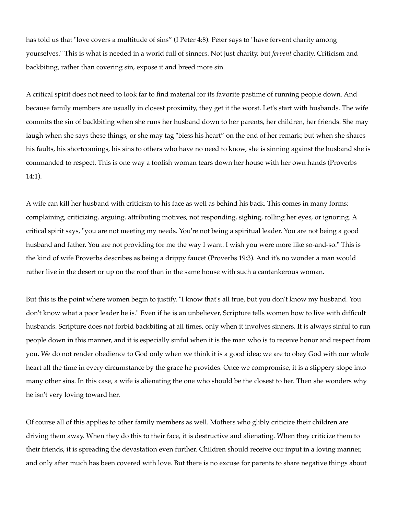has told us that "love covers a multitude of sins" (I Peter 4:8). Peter says to "have fervent charity among yourselves." This is what is needed in a world full of sinners. Not just charity, but *fervent* charity. Criticism and backbiting, rather than covering sin, expose it and breed more sin.

A critical spirit does not need to look far to find material for its favorite pastime of running people down. And because family members are usually in closest proximity, they get it the worst. Let's start with husbands. The wife commits the sin of backbiting when she runs her husband down to her parents, her children, her friends. She may laugh when she says these things, or she may tag "bless his heart" on the end of her remark; but when she shares his faults, his shortcomings, his sins to others who have no need to know, she is sinning against the husband she is commanded to respect. This is one way a foolish woman tears down her house with her own hands (Proverbs 14:1).

A wife can kill her husband with criticism to his face as well as behind his back. This comes in many forms: complaining, criticizing, arguing, attributing motives, not responding, sighing, rolling her eyes, or ignoring. A critical spirit says, "you are not meeting my needs. You're not being a spiritual leader. You are not being a good husband and father. You are not providing for me the way I want. I wish you were more like so-and-so." This is the kind of wife Proverbs describes as being a drippy faucet (Proverbs 19:3). And it's no wonder a man would rather live in the desert or up on the roof than in the same house with such a cantankerous woman.

But this is the point where women begin to justify. "I know that's all true, but you don't know my husband. You don't know what a poor leader he is." Even if he is an unbeliever, Scripture tells women how to live with difficult husbands. Scripture does not forbid backbiting at all times, only when it involves sinners. It is always sinful to run people down in this manner, and it is especially sinful when it is the man who is to receive honor and respect from you. We do not render obedience to God only when we think it is a good idea; we are to obey God with our whole heart all the time in every circumstance by the grace he provides. Once we compromise, it is a slippery slope into many other sins. In this case, a wife is alienating the one who should be the closest to her. Then she wonders why he isn't very loving toward her.

Of course all of this applies to other family members as well. Mothers who glibly criticize their children are driving them away. When they do this to their face, it is destructive and alienating. When they criticize them to their friends, it is spreading the devastation even further. Children should receive our input in a loving manner, and only after much has been covered with love. But there is no excuse for parents to share negative things about